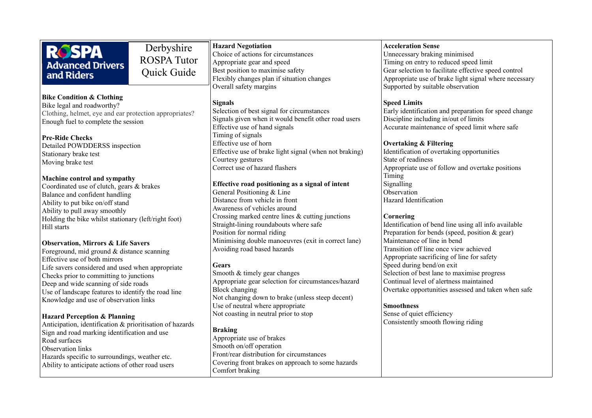|                                                                                               | Derbyshire         | <b>Hazard Negotiation</b>                              | <b>Acceleration Sense</b>                             |
|-----------------------------------------------------------------------------------------------|--------------------|--------------------------------------------------------|-------------------------------------------------------|
| <b>ROSPA</b>                                                                                  |                    | Choice of actions for circumstances                    | Unnecessary braking minimised                         |
| <b>Advanced Drivers</b>                                                                       | <b>ROSPA Tutor</b> | Appropriate gear and speed                             | Timing on entry to reduced speed limit                |
| and Riders                                                                                    | Quick Guide        | Best position to maximise safety                       | Gear selection to facilitate effective speed control  |
|                                                                                               |                    | Flexibly changes plan if situation changes             | Appropriate use of brake light signal where necessary |
|                                                                                               |                    | Overall safety margins                                 | Supported by suitable observation                     |
| <b>Bike Condition &amp; Clothing</b>                                                          |                    |                                                        |                                                       |
| Bike legal and roadworthy?                                                                    |                    | <b>Signals</b>                                         | <b>Speed Limits</b>                                   |
| Clothing, helmet, eye and ear protection appropriates?<br>Enough fuel to complete the session |                    | Selection of best signal for circumstances             | Early identification and preparation for speed change |
|                                                                                               |                    | Signals given when it would benefit other road users   | Discipline including in/out of limits                 |
|                                                                                               |                    | Effective use of hand signals                          | Accurate maintenance of speed limit where safe        |
| <b>Pre-Ride Checks</b>                                                                        |                    | Timing of signals                                      |                                                       |
| Detailed POWDDERSS inspection                                                                 |                    | Effective use of horn                                  | <b>Overtaking &amp; Filtering</b>                     |
| Stationary brake test                                                                         |                    | Effective use of brake light signal (when not braking) | Identification of overtaking opportunities            |
| Moving brake test                                                                             |                    | Courtesy gestures                                      | State of readiness                                    |
|                                                                                               |                    | Correct use of hazard flashers                         | Appropriate use of follow and overtake positions      |
| <b>Machine control and sympathy</b>                                                           |                    |                                                        | Timing                                                |
| Coordinated use of clutch, gears & brakes                                                     |                    | Effective road positioning as a signal of intent       | Signalling                                            |
|                                                                                               |                    | General Positioning & Line                             | Observation                                           |
| Balance and confident handling                                                                |                    | Distance from vehicle in front                         | Hazard Identification                                 |
| Ability to put bike on/off stand<br>Ability to pull away smoothly                             |                    | Awareness of vehicles around                           |                                                       |
|                                                                                               |                    | Crossing marked centre lines & cutting junctions       | Cornering                                             |
| Holding the bike whilst stationary (left/right foot)                                          |                    | Straight-lining roundabouts where safe                 | Identification of bend line using all info available  |
| Hill starts                                                                                   |                    | Position for normal riding                             | Preparation for bends (speed, position & gear)        |
|                                                                                               |                    | Minimising double manoeuvres (exit in correct lane)    | Maintenance of line in bend                           |
| <b>Observation, Mirrors &amp; Life Savers</b>                                                 |                    | Avoiding road based hazards                            | Transition off line once view achieved                |
| Foreground, mid ground & distance scanning                                                    |                    |                                                        | Appropriate sacrificing of line for safety            |
| Effective use of both mirrors                                                                 |                    | <b>Gears</b>                                           | Speed during bend/on exit                             |
| Life savers considered and used when appropriate                                              |                    | Smooth & timely gear changes                           | Selection of best lane to maximise progress           |
| Checks prior to committing to junctions                                                       |                    | Appropriate gear selection for circumstances/hazard    | Continual level of alertness maintained               |
| Deep and wide scanning of side roads                                                          |                    | <b>Block changing</b>                                  | Overtake opportunities assessed and taken when safe   |
| Use of landscape features to identify the road line                                           |                    | Not changing down to brake (unless steep decent)       |                                                       |
| Knowledge and use of observation links                                                        |                    | Use of neutral where appropriate                       | <b>Smoothness</b>                                     |
|                                                                                               |                    | Not coasting in neutral prior to stop                  | Sense of quiet efficiency                             |
| <b>Hazard Perception &amp; Planning</b>                                                       |                    |                                                        | Consistently smooth flowing riding                    |
| Anticipation, identification & prioritisation of hazards                                      |                    | <b>Braking</b>                                         |                                                       |
| Sign and road marking identification and use                                                  |                    | Appropriate use of brakes                              |                                                       |
| Road surfaces                                                                                 |                    | Smooth on/off operation                                |                                                       |
| <b>Observation links</b>                                                                      |                    | Front/rear distribution for circumstances              |                                                       |
| Hazards specific to surroundings, weather etc.                                                |                    |                                                        |                                                       |
| A hility to anticipate actions of other road users                                            |                    | Covering front brakes on approach to some hazards      |                                                       |

Comfort braking

Ability to anticipate actions of other road users